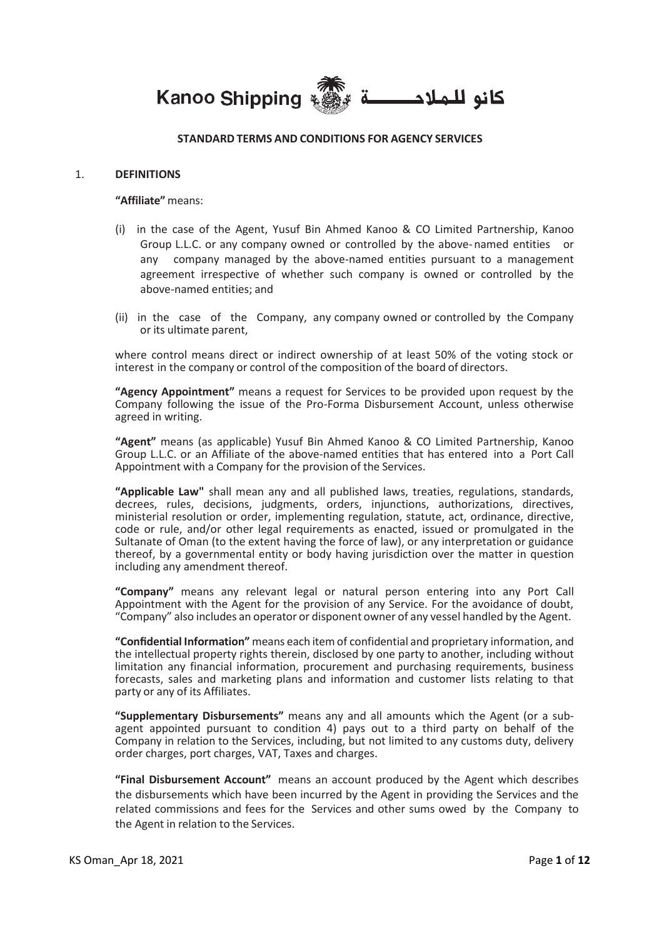**Kanoo Shipping** كانو للملاح

### **STANDARD TERMS AND CONDITIONS FOR AGENCY SERVICES**

#### 1. **DEFINITIONS**

**"Affiliate"** means:

- (i) in the case of the Agent, Yusuf Bin Ahmed Kanoo & CO Limited Partnership, Kanoo Group L.L.C. or any company owned or controlled by the above-named entities or any company managed by the above-named entities pursuant to a management agreement irrespective of whether such company is owned or controlled by the above-named entities; and
- (ii) in the case of the Company, any company owned or controlled by the Company or its ultimate parent,

where control means direct or indirect ownership of at least 50% of the voting stock or interest in the company or control of the composition of the board of directors.

**"Agency Appointment"** means a request for Services to be provided upon request by the Company following the issue of the Pro-Forma Disbursement Account, unless otherwise agreed in writing.

**"Agent"** means (as applicable) Yusuf Bin Ahmed Kanoo & CO Limited Partnership, Kanoo Group L.L.C. or an Affiliate of the above-named entities that has entered into a Port Call Appointment with a Company for the provision of the Services.

**"Applicable Law"** shall mean any and all published laws, treaties, regulations, standards, decrees, rules, decisions, judgments, orders, injunctions, authorizations, directives, ministerial resolution or order, implementing regulation, statute, act, ordinance, directive, code or rule, and/or other legal requirements as enacted, issued or promulgated in the Sultanate of Oman (to the extent having the force of law), or any interpretation or guidance thereof, by a governmental entity or body having jurisdiction over the matter in question including any amendment thereof.

**"Company"** means any relevant legal or natural person entering into any Port Call Appointment with the Agent for the provision of any Service. For the avoidance of doubt, "Company" also includes an operator or disponent owner of any vessel handled by the Agent.

**"Confidential Information"** means each item of confidential and proprietary information, and the intellectual property rights therein, disclosed by one party to another, including without limitation any financial information, procurement and purchasing requirements, business forecasts, sales and marketing plans and information and customer lists relating to that party or any of its Affiliates.

**"Supplementary Disbursements"** means any and all amounts which the Agent (or a subagent appointed pursuant to condition 4) pays out to a third party on behalf of the Company in relation to the Services, including, but not limited to any customs duty, delivery order charges, port charges, VAT, Taxes and charges.

**"Final Disbursement Account"** means an account produced by the Agent which describes the disbursements which have been incurred by the Agent in providing the Services and the related commissions and fees for the Services and other sums owed by the Company to the Agent in relation to the Services.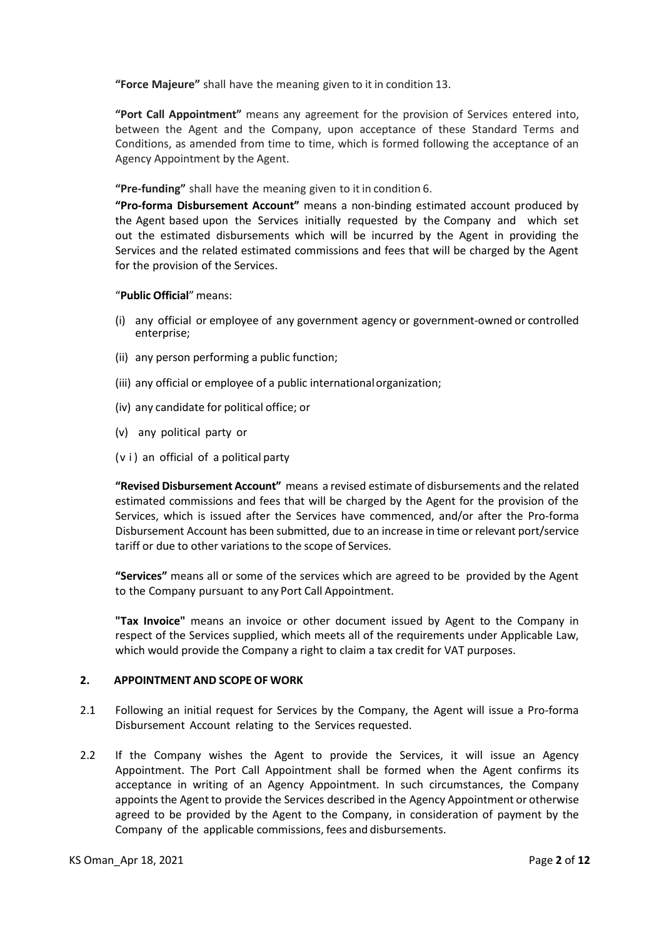**"Force Majeure"** shall have the meaning given to it in condition 13.

**"Port Call Appointment"** means any agreement for the provision of Services entered into, between the Agent and the Company, upon acceptance of these Standard Terms and Conditions, as amended from time to time, which is formed following the acceptance of an Agency Appointment by the Agent.

**"Pre-funding"** shall have the meaning given to it in condition 6.

**"Pro-forma Disbursement Account"** means a non-binding estimated account produced by the Agent based upon the Services initially requested by the Company and which set out the estimated disbursements which will be incurred by the Agent in providing the Services and the related estimated commissions and fees that will be charged by the Agent for the provision of the Services.

"**Public Official**" means:

- (i) any official or employee of any government agency or government-owned or controlled enterprise;
- (ii) any person performing a public function;
- (iii) any official or employee of a public internationalorganization;
- (iv) any candidate for political office; or
- (v) any political party or
- (v i) an official of a political party

**"Revised Disbursement Account"** means a revised estimate of disbursements and the related estimated commissions and fees that will be charged by the Agent for the provision of the Services, which is issued after the Services have commenced, and/or after the Pro-forma Disbursement Account has been submitted, due to an increase in time or relevant port/service tariff or due to other variations to the scope of Services.

**"Services"** means all or some of the services which are agreed to be provided by the Agent to the Company pursuant to any Port Call Appointment.

**"Tax Invoice"** means an invoice or other document issued by Agent to the Company in respect of the Services supplied, which meets all of the requirements under Applicable Law, which would provide the Company a right to claim a tax credit for VAT purposes.

#### **2. APPOINTMENT AND SCOPE OF WORK**

- 2.1 Following an initial request for Services by the Company, the Agent will issue a Pro-forma Disbursement Account relating to the Services requested.
- 2.2 If the Company wishes the Agent to provide the Services, it will issue an Agency Appointment. The Port Call Appointment shall be formed when the Agent confirms its acceptance in writing of an Agency Appointment. In such circumstances, the Company appoints the Agent to provide the Services described in the Agency Appointment or otherwise agreed to be provided by the Agent to the Company, in consideration of payment by the Company of the applicable commissions, fees and disbursements.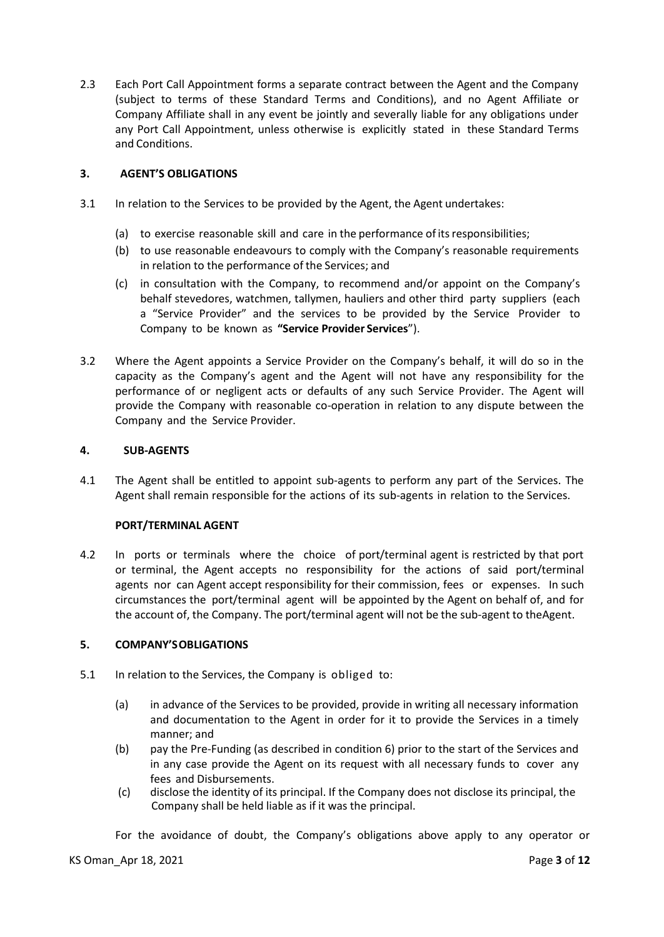2.3 Each Port Call Appointment forms a separate contract between the Agent and the Company (subject to terms of these Standard Terms and Conditions), and no Agent Affiliate or Company Affiliate shall in any event be jointly and severally liable for any obligations under any Port Call Appointment, unless otherwise is explicitly stated in these Standard Terms and Conditions.

# **3. AGENT'S OBLIGATIONS**

- 3.1 In relation to the Services to be provided by the Agent, the Agent undertakes:
	- (a) to exercise reasonable skill and care in the performance of itsresponsibilities;
	- (b) to use reasonable endeavours to comply with the Company's reasonable requirements in relation to the performance of the Services; and
	- (c) in consultation with the Company, to recommend and/or appoint on the Company's behalf stevedores, watchmen, tallymen, hauliers and other third party suppliers (each a "Service Provider" and the services to be provided by the Service Provider to Company to be known as **"Service Provider Services**").
- 3.2 Where the Agent appoints a Service Provider on the Company's behalf, it will do so in the capacity as the Company's agent and the Agent will not have any responsibility for the performance of or negligent acts or defaults of any such Service Provider. The Agent will provide the Company with reasonable co-operation in relation to any dispute between the Company and the Service Provider.

# **4. SUB-AGENTS**

4.1 The Agent shall be entitled to appoint sub-agents to perform any part of the Services. The Agent shall remain responsible for the actions of its sub-agents in relation to the Services.

# **PORT/TERMINAL AGENT**

4.2 In ports or terminals where the choice of port/terminal agent is restricted by that port or terminal, the Agent accepts no responsibility for the actions of said port/terminal agents nor can Agent accept responsibility for their commission, fees or expenses. In such circumstances the port/terminal agent will be appointed by the Agent on behalf of, and for the account of, the Company. The port/terminal agent will not be the sub-agent to theAgent.

# **5. COMPANY'SOBLIGATIONS**

- 5.1 In relation to the Services, the Company is obliged to:
	- (a) in advance of the Services to be provided, provide in writing all necessary information and documentation to the Agent in order for it to provide the Services in a timely manner; and
	- (b) pay the Pre-Funding (as described in condition 6) prior to the start of the Services and in any case provide the Agent on its request with all necessary funds to cover any fees and Disbursements.
	- (c) disclose the identity of its principal. If the Company does not disclose its principal, the Company shall be held liable as if it was the principal.

For the avoidance of doubt, the Company's obligations above apply to any operator or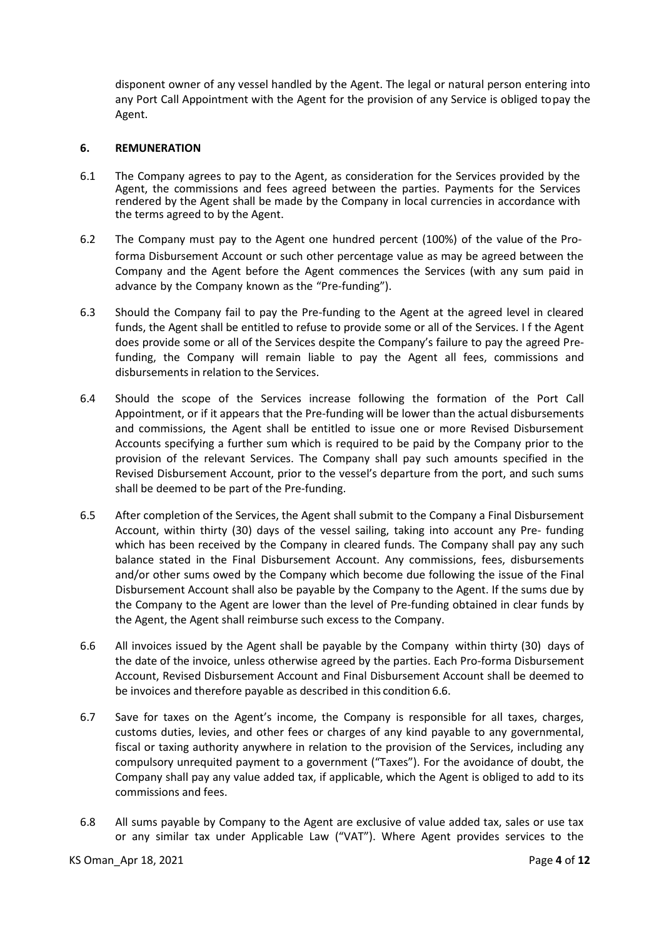disponent owner of any vessel handled by the Agent. The legal or natural person entering into any Port Call Appointment with the Agent for the provision of any Service is obliged topay the Agent.

### **6. REMUNERATION**

- 6.1 The Company agrees to pay to the Agent, as consideration for the Services provided by the Agent, the commissions and fees agreed between the parties. Payments for the Services rendered by the Agent shall be made by the Company in local currencies in accordance with the terms agreed to by the Agent.
- 6.2 The Company must pay to the Agent one hundred percent (100%) of the value of the Proforma Disbursement Account or such other percentage value as may be agreed between the Company and the Agent before the Agent commences the Services (with any sum paid in advance by the Company known as the "Pre-funding").
- 6.3 Should the Company fail to pay the Pre-funding to the Agent at the agreed level in cleared funds, the Agent shall be entitled to refuse to provide some or all of the Services. I f the Agent does provide some or all of the Services despite the Company's failure to pay the agreed Prefunding, the Company will remain liable to pay the Agent all fees, commissions and disbursements in relation to the Services.
- 6.4 Should the scope of the Services increase following the formation of the Port Call Appointment, or if it appears that the Pre-funding will be lower than the actual disbursements and commissions, the Agent shall be entitled to issue one or more Revised Disbursement Accounts specifying a further sum which is required to be paid by the Company prior to the provision of the relevant Services. The Company shall pay such amounts specified in the Revised Disbursement Account, prior to the vessel's departure from the port, and such sums shall be deemed to be part of the Pre-funding.
- 6.5 After completion of the Services, the Agent shall submit to the Company a Final Disbursement Account, within thirty (30) days of the vessel sailing, taking into account any Pre- funding which has been received by the Company in cleared funds. The Company shall pay any such balance stated in the Final Disbursement Account. Any commissions, fees, disbursements and/or other sums owed by the Company which become due following the issue of the Final Disbursement Account shall also be payable by the Company to the Agent. If the sums due by the Company to the Agent are lower than the level of Pre-funding obtained in clear funds by the Agent, the Agent shall reimburse such excess to the Company.
- 6.6 All invoices issued by the Agent shall be payable by the Company within thirty (30) days of the date of the invoice, unless otherwise agreed by the parties. Each Pro-forma Disbursement Account, Revised Disbursement Account and Final Disbursement Account shall be deemed to be invoices and therefore payable as described in this condition 6.6.
- 6.7 Save for taxes on the Agent's income, the Company is responsible for all taxes, charges, customs duties, levies, and other fees or charges of any kind payable to any governmental, fiscal or taxing authority anywhere in relation to the provision of the Services, including any compulsory unrequited payment to a government ("Taxes"). For the avoidance of doubt, the Company shall pay any value added tax, if applicable, which the Agent is obliged to add to its commissions and fees.
- 6.8 All sums payable by Company to the Agent are exclusive of value added tax, sales or use tax or any similar tax under Applicable Law ("VAT"). Where Agent provides services to the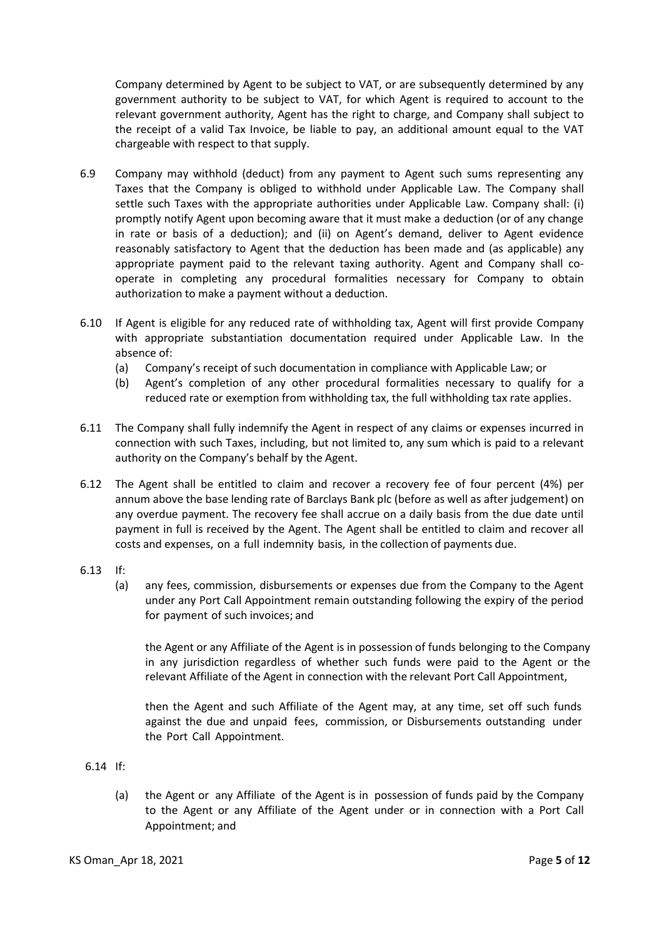Company determined by Agent to be subject to VAT, or are subsequently determined by any government authority to be subject to VAT, for which Agent is required to account to the relevant government authority, Agent has the right to charge, and Company shall subject to the receipt of a valid Tax Invoice, be liable to pay, an additional amount equal to the VAT chargeable with respect to that supply.

- 6.9 Company may withhold (deduct) from any payment to Agent such sums representing any Taxes that the Company is obliged to withhold under Applicable Law. The Company shall settle such Taxes with the appropriate authorities under Applicable Law. Company shall: (i) promptly notify Agent upon becoming aware that it must make a deduction (or of any change in rate or basis of a deduction); and (ii) on Agent's demand, deliver to Agent evidence reasonably satisfactory to Agent that the deduction has been made and (as applicable) any appropriate payment paid to the relevant taxing authority. Agent and Company shall cooperate in completing any procedural formalities necessary for Company to obtain authorization to make a payment without a deduction.
- 6.10 If Agent is eligible for any reduced rate of withholding tax, Agent will first provide Company with appropriate substantiation documentation required under Applicable Law. In the absence of:
	- (a) Company's receipt of such documentation in compliance with Applicable Law; or
	- (b) Agent's completion of any other procedural formalities necessary to qualify for a reduced rate or exemption from withholding tax, the full withholding tax rate applies.
- 6.11 The Company shall fully indemnify the Agent in respect of any claims or expenses incurred in connection with such Taxes, including, but not limited to, any sum which is paid to a relevant authority on the Company's behalf by the Agent.
- 6.12 The Agent shall be entitled to claim and recover a recovery fee of four percent (4%) per annum above the base lending rate of Barclays Bank plc (before as well as after judgement) on any overdue payment. The recovery fee shall accrue on a daily basis from the due date until payment in full is received by the Agent. The Agent shall be entitled to claim and recover all costs and expenses, on a full indemnity basis, in the collection of payments due.
- 6.13 If:
	- (a) any fees, commission, disbursements or expenses due from the Company to the Agent under any Port Call Appointment remain outstanding following the expiry of the period for payment of such invoices; and

the Agent or any Affiliate of the Agent is in possession of funds belonging to the Company in any jurisdiction regardless of whether such funds were paid to the Agent or the relevant Affiliate of the Agent in connection with the relevant Port Call Appointment,

then the Agent and such Affiliate of the Agent may, at any time, set off such funds against the due and unpaid fees, commission, or Disbursements outstanding under the Port Call Appointment.

- 6.14 If:
	- (a) the Agent or any Affiliate of the Agent is in possession of funds paid by the Company to the Agent or any Affiliate of the Agent under or in connection with a Port Call Appointment; and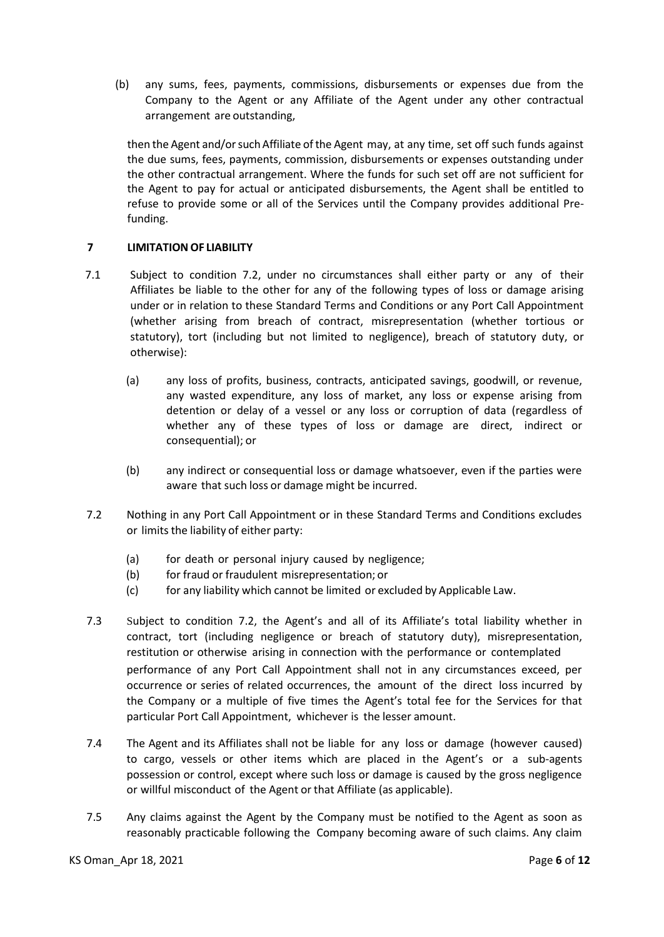(b) any sums, fees, payments, commissions, disbursements or expenses due from the Company to the Agent or any Affiliate of the Agent under any other contractual arrangement are outstanding,

then the Agent and/or such Affiliate of the Agent may, at any time, set off such funds against the due sums, fees, payments, commission, disbursements or expenses outstanding under the other contractual arrangement. Where the funds for such set off are not sufficient for the Agent to pay for actual or anticipated disbursements, the Agent shall be entitled to refuse to provide some or all of the Services until the Company provides additional Prefunding.

# **7 LIMITATION OF LIABILITY**

- 7.1 Subject to condition 7.2, under no circumstances shall either party or any of their Affiliates be liable to the other for any of the following types of loss or damage arising under or in relation to these Standard Terms and Conditions or any Port Call Appointment (whether arising from breach of contract, misrepresentation (whether tortious or statutory), tort (including but not limited to negligence), breach of statutory duty, or otherwise):
	- (a) any loss of profits, business, contracts, anticipated savings, goodwill, or revenue, any wasted expenditure, any loss of market, any loss or expense arising from detention or delay of a vessel or any loss or corruption of data (regardless of whether any of these types of loss or damage are direct, indirect or consequential); or
	- (b) any indirect or consequential loss or damage whatsoever, even if the parties were aware that such loss or damage might be incurred.
- 7.2 Nothing in any Port Call Appointment or in these Standard Terms and Conditions excludes or limits the liability of either party:
	- (a) for death or personal injury caused by negligence;
	- (b) for fraud or fraudulent misrepresentation; or
	- (c) for any liability which cannot be limited or excluded by Applicable Law.
- 7.3 Subject to condition 7.2, the Agent's and all of its Affiliate's total liability whether in contract, tort (including negligence or breach of statutory duty), misrepresentation, restitution or otherwise arising in connection with the performance or contemplated performance of any Port Call Appointment shall not in any circumstances exceed, per occurrence or series of related occurrences, the amount of the direct loss incurred by the Company or a multiple of five times the Agent's total fee for the Services for that particular Port Call Appointment, whichever is the lesser amount.
- 7.4 The Agent and its Affiliates shall not be liable for any loss or damage (however caused) to cargo, vessels or other items which are placed in the Agent's or a sub-agents possession or control, except where such loss or damage is caused by the gross negligence or willful misconduct of the Agent or that Affiliate (as applicable).
- 7.5 Any claims against the Agent by the Company must be notified to the Agent as soon as reasonably practicable following the Company becoming aware of such claims. Any claim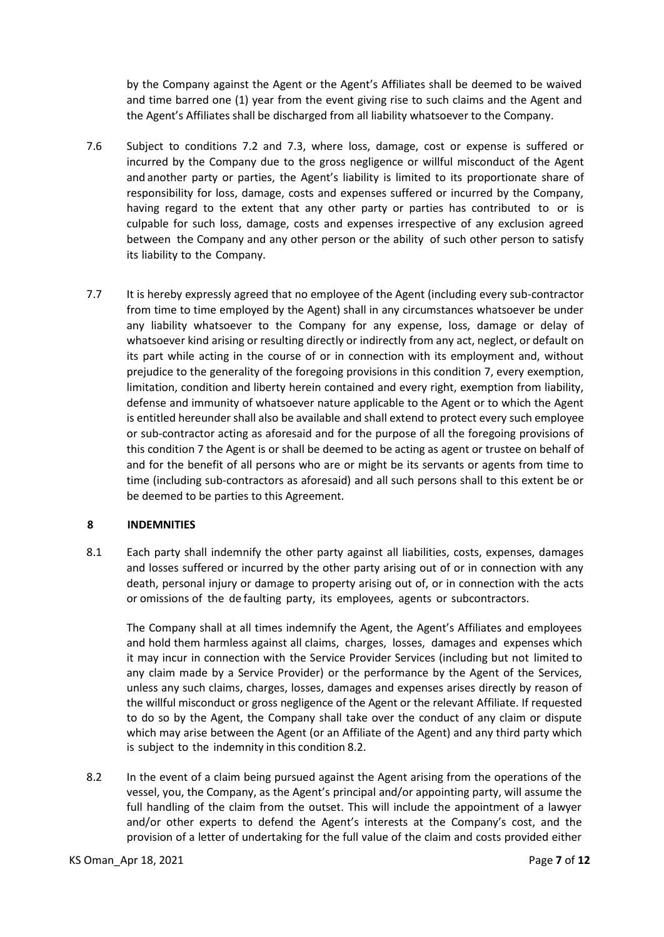by the Company against the Agent or the Agent's Affiliates shall be deemed to be waived and time barred one (1) year from the event giving rise to such claims and the Agent and the Agent's Affiliates shall be discharged from all liability whatsoever to the Company.

- 7.6 Subject to conditions 7.2 and 7.3, where loss, damage, cost or expense is suffered or incurred by the Company due to the gross negligence or willful misconduct of the Agent and another party or parties, the Agent's liability is limited to its proportionate share of responsibility for loss, damage, costs and expenses suffered or incurred by the Company, having regard to the extent that any other party or parties has contributed to or is culpable for such loss, damage, costs and expenses irrespective of any exclusion agreed between the Company and any other person or the ability of such other person to satisfy its liability to the Company.
- 7.7 It is hereby expressly agreed that no employee of the Agent (including every sub-contractor from time to time employed by the Agent) shall in any circumstances whatsoever be under any liability whatsoever to the Company for any expense, loss, damage or delay of whatsoever kind arising or resulting directly or indirectly from any act, neglect, or default on its part while acting in the course of or in connection with its employment and, without prejudice to the generality of the foregoing provisions in this condition 7, every exemption, limitation, condition and liberty herein contained and every right, exemption from liability, defense and immunity of whatsoever nature applicable to the Agent or to which the Agent is entitled hereunder shall also be available and shall extend to protect every such employee or sub-contractor acting as aforesaid and for the purpose of all the foregoing provisions of this condition 7 the Agent is or shall be deemed to be acting as agent or trustee on behalf of and for the benefit of all persons who are or might be its servants or agents from time to time (including sub-contractors as aforesaid) and all such persons shall to this extent be or be deemed to be parties to this Agreement.

# **8 INDEMNITIES**

8.1 Each party shall indemnify the other party against all liabilities, costs, expenses, damages and losses suffered or incurred by the other party arising out of or in connection with any death, personal injury or damage to property arising out of, or in connection with the acts or omissions of the de faulting party, its employees, agents or subcontractors.

The Company shall at all times indemnify the Agent, the Agent's Affiliates and employees and hold them harmless against all claims, charges, losses, damages and expenses which it may incur in connection with the Service Provider Services (including but not limited to any claim made by a Service Provider) or the performance by the Agent of the Services, unless any such claims, charges, losses, damages and expenses arises directly by reason of the willful misconduct or gross negligence of the Agent or the relevant Affiliate. If requested to do so by the Agent, the Company shall take over the conduct of any claim or dispute which may arise between the Agent (or an Affiliate of the Agent) and any third party which is subject to the indemnity in this condition 8.2.

8.2 In the event of a claim being pursued against the Agent arising from the operations of the vessel, you, the Company, as the Agent's principal and/or appointing party, will assume the full handling of the claim from the outset. This will include the appointment of a lawyer and/or other experts to defend the Agent's interests at the Company's cost, and the provision of a letter of undertaking for the full value of the claim and costs provided either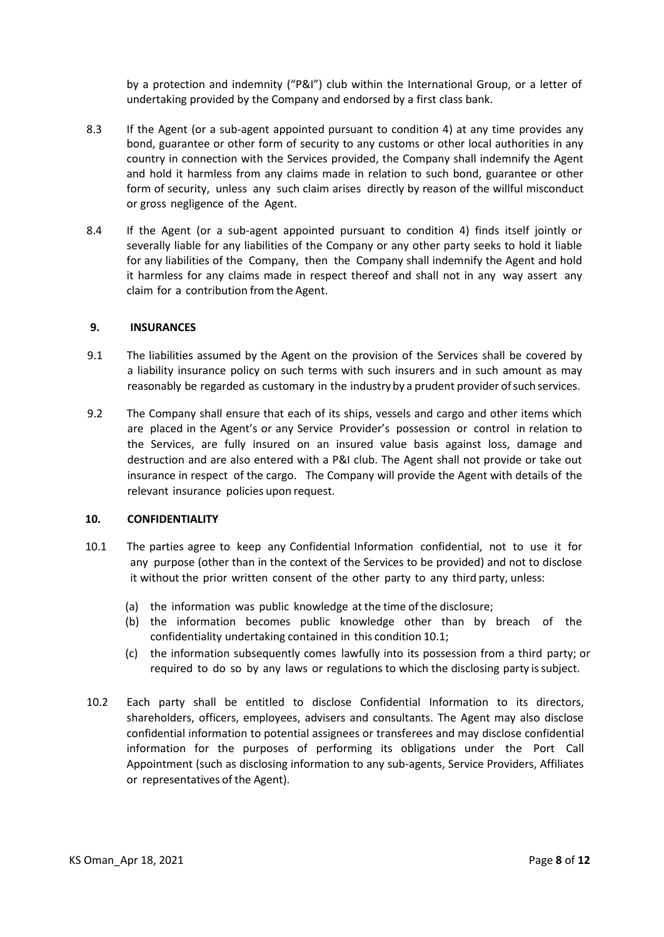by a protection and indemnity ("P&I") club within the International Group, or a letter of undertaking provided by the Company and endorsed by a first class bank.

- 8.3 If the Agent (or a sub-agent appointed pursuant to condition 4) at any time provides any bond, guarantee or other form of security to any customs or other local authorities in any country in connection with the Services provided, the Company shall indemnify the Agent and hold it harmless from any claims made in relation to such bond, guarantee or other form of security, unless any such claim arises directly by reason of the willful misconduct or gross negligence of the Agent.
- 8.4 If the Agent (or a sub-agent appointed pursuant to condition 4) finds itself jointly or severally liable for any liabilities of the Company or any other party seeks to hold it liable for any liabilities of the Company, then the Company shall indemnify the Agent and hold it harmless for any claims made in respect thereof and shall not in any way assert any claim for a contribution from the Agent.

### **9. INSURANCES**

- 9.1 The liabilities assumed by the Agent on the provision of the Services shall be covered by a liability insurance policy on such terms with such insurers and in such amount as may reasonably be regarded as customary in the industry by a prudent provider ofsuch services.
- 9.2 The Company shall ensure that each of its ships, vessels and cargo and other items which are placed in the Agent's or any Service Provider's possession or control in relation to the Services, are fully insured on an insured value basis against loss, damage and destruction and are also entered with a P&I club. The Agent shall not provide or take out insurance in respect of the cargo. The Company will provide the Agent with details of the relevant insurance policies upon request.

#### **10. CONFIDENTIALITY**

- 10.1 The parties agree to keep any Confidential Information confidential, not to use it for any purpose (other than in the context of the Services to be provided) and not to disclose it without the prior written consent of the other party to any third party, unless:
	- (a) the information was public knowledge at the time of the disclosure;
	- (b) the information becomes public knowledge other than by breach of the confidentiality undertaking contained in this condition 10.1;
	- (c) the information subsequently comes lawfully into its possession from a third party; or required to do so by any laws or regulations to which the disclosing party issubject.
- 10.2 Each party shall be entitled to disclose Confidential Information to its directors, shareholders, officers, employees, advisers and consultants. The Agent may also disclose confidential information to potential assignees or transferees and may disclose confidential information for the purposes of performing its obligations under the Port Call Appointment (such as disclosing information to any sub-agents, Service Providers, Affiliates or representatives of the Agent).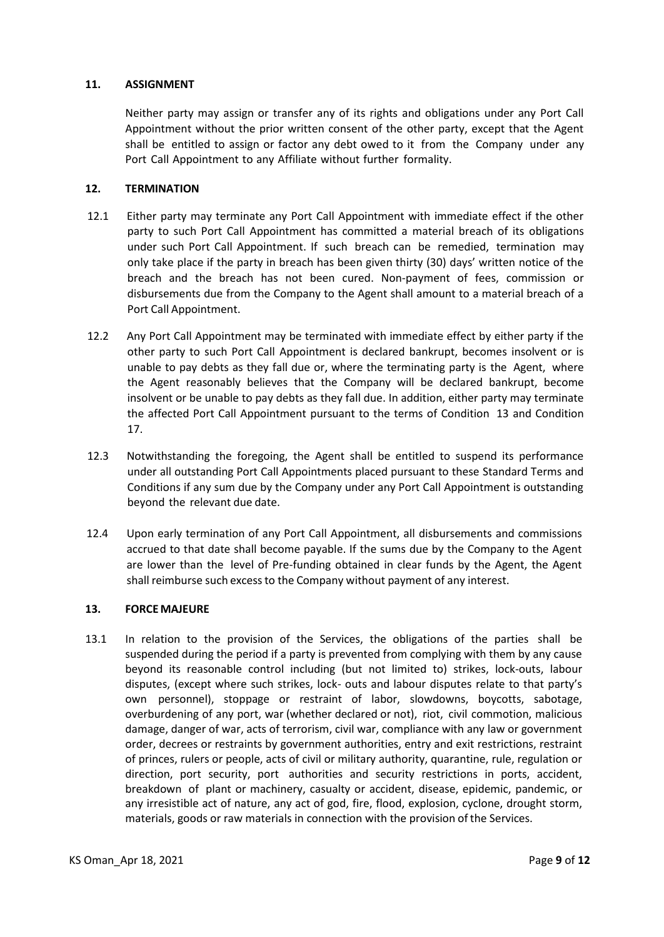# **11. ASSIGNMENT**

Neither party may assign or transfer any of its rights and obligations under any Port Call Appointment without the prior written consent of the other party, except that the Agent shall be entitled to assign or factor any debt owed to it from the Company under any Port Call Appointment to any Affiliate without further formality.

# **12. TERMINATION**

- 12.1 Either party may terminate any Port Call Appointment with immediate effect if the other party to such Port Call Appointment has committed a material breach of its obligations under such Port Call Appointment. If such breach can be remedied, termination may only take place if the party in breach has been given thirty (30) days' written notice of the breach and the breach has not been cured. Non-payment of fees, commission or disbursements due from the Company to the Agent shall amount to a material breach of a Port Call Appointment.
- 12.2 Any Port Call Appointment may be terminated with immediate effect by either party if the other party to such Port Call Appointment is declared bankrupt, becomes insolvent or is unable to pay debts as they fall due or, where the terminating party is the Agent, where the Agent reasonably believes that the Company will be declared bankrupt, become insolvent or be unable to pay debts as they fall due. In addition, either party may terminate the affected Port Call Appointment pursuant to the terms of Condition 13 and Condition 17.
- 12.3 Notwithstanding the foregoing, the Agent shall be entitled to suspend its performance under all outstanding Port Call Appointments placed pursuant to these Standard Terms and Conditions if any sum due by the Company under any Port Call Appointment is outstanding beyond the relevant due date.
- 12.4 Upon early termination of any Port Call Appointment, all disbursements and commissions accrued to that date shall become payable. If the sums due by the Company to the Agent are lower than the level of Pre-funding obtained in clear funds by the Agent, the Agent shall reimburse such excessto the Company without payment of any interest.

# **13. FORCEMAJEURE**

13.1 In relation to the provision of the Services, the obligations of the parties shall be suspended during the period if a party is prevented from complying with them by any cause beyond its reasonable control including (but not limited to) strikes, lock-outs, labour disputes, (except where such strikes, lock- outs and labour disputes relate to that party's own personnel), stoppage or restraint of labor, slowdowns, boycotts, sabotage, overburdening of any port, war (whether declared or not), riot, civil commotion, malicious damage, danger of war, acts of terrorism, civil war, compliance with any law or government order, decrees or restraints by government authorities, entry and exit restrictions, restraint of princes, rulers or people, acts of civil or military authority, quarantine, rule, regulation or direction, port security, port authorities and security restrictions in ports, accident, breakdown of plant or machinery, casualty or accident, disease, epidemic, pandemic, or any irresistible act of nature, any act of god, fire, flood, explosion, cyclone, drought storm, materials, goods or raw materials in connection with the provision of the Services.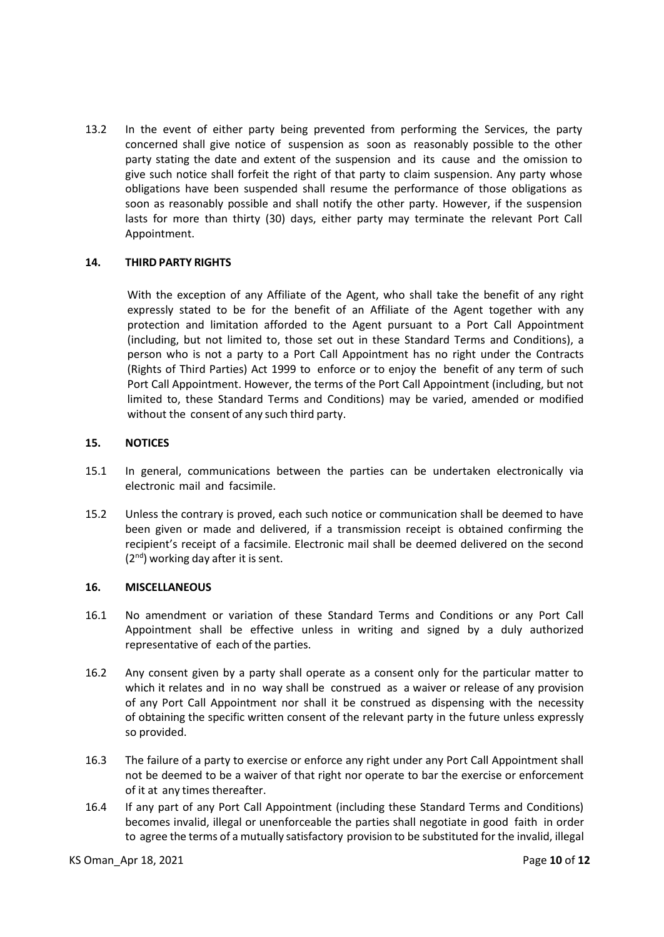13.2 In the event of either party being prevented from performing the Services, the party concerned shall give notice of suspension as soon as reasonably possible to the other party stating the date and extent of the suspension and its cause and the omission to give such notice shall forfeit the right of that party to claim suspension. Any party whose obligations have been suspended shall resume the performance of those obligations as soon as reasonably possible and shall notify the other party. However, if the suspension lasts for more than thirty (30) days, either party may terminate the relevant Port Call Appointment.

# **14. THIRD PARTY RIGHTS**

With the exception of any Affiliate of the Agent, who shall take the benefit of any right expressly stated to be for the benefit of an Affiliate of the Agent together with any protection and limitation afforded to the Agent pursuant to a Port Call Appointment (including, but not limited to, those set out in these Standard Terms and Conditions), a person who is not a party to a Port Call Appointment has no right under the Contracts (Rights of Third Parties) Act 1999 to enforce or to enjoy the benefit of any term of such Port Call Appointment. However, the terms of the Port Call Appointment (including, but not limited to, these Standard Terms and Conditions) may be varied, amended or modified without the consent of any such third party.

#### **15. NOTICES**

- 15.1 In general, communications between the parties can be undertaken electronically via electronic mail and facsimile.
- 15.2 Unless the contrary is proved, each such notice or communication shall be deemed to have been given or made and delivered, if a transmission receipt is obtained confirming the recipient's receipt of a facsimile. Electronic mail shall be deemed delivered on the second  $(2<sup>nd</sup>)$  working day after it is sent.

### **16. MISCELLANEOUS**

- 16.1 No amendment or variation of these Standard Terms and Conditions or any Port Call Appointment shall be effective unless in writing and signed by a duly authorized representative of each of the parties.
- 16.2 Any consent given by a party shall operate as a consent only for the particular matter to which it relates and in no way shall be construed as a waiver or release of any provision of any Port Call Appointment nor shall it be construed as dispensing with the necessity of obtaining the specific written consent of the relevant party in the future unless expressly so provided.
- 16.3 The failure of a party to exercise or enforce any right under any Port Call Appointment shall not be deemed to be a waiver of that right nor operate to bar the exercise or enforcement of it at any times thereafter.
- 16.4 If any part of any Port Call Appointment (including these Standard Terms and Conditions) becomes invalid, illegal or unenforceable the parties shall negotiate in good faith in order to agree the terms of a mutually satisfactory provision to be substituted for the invalid, illegal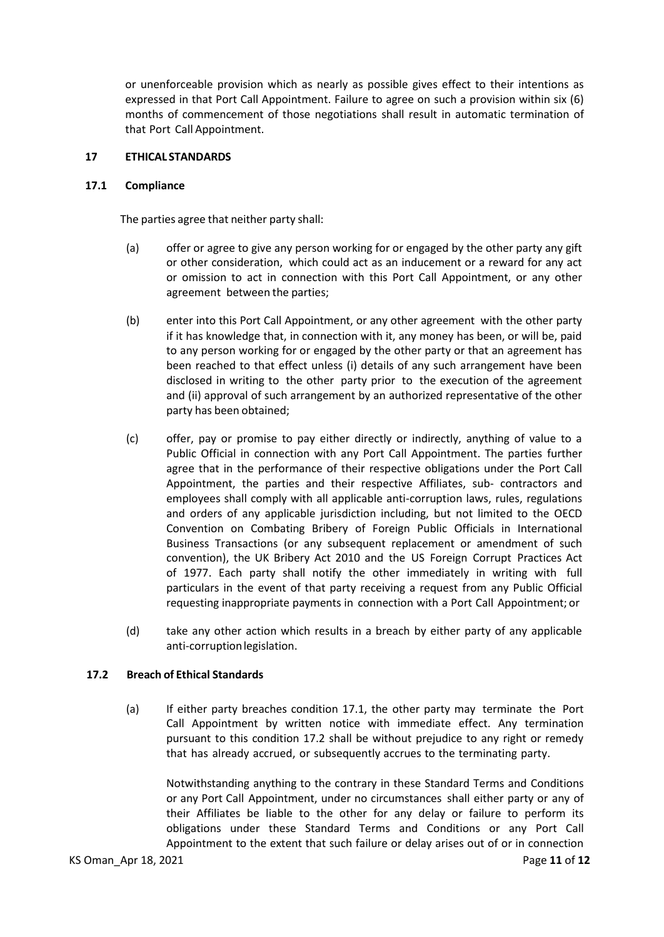or unenforceable provision which as nearly as possible gives effect to their intentions as expressed in that Port Call Appointment. Failure to agree on such a provision within six (6) months of commencement of those negotiations shall result in automatic termination of that Port Call Appointment.

## **17 ETHICAL STANDARDS**

#### **17.1 Compliance**

The parties agree that neither party shall:

- (a) offer or agree to give any person working for or engaged by the other party any gift or other consideration, which could act as an inducement or a reward for any act or omission to act in connection with this Port Call Appointment, or any other agreement between the parties;
- (b) enter into this Port Call Appointment, or any other agreement with the other party if it has knowledge that, in connection with it, any money has been, or will be, paid to any person working for or engaged by the other party or that an agreement has been reached to that effect unless (i) details of any such arrangement have been disclosed in writing to the other party prior to the execution of the agreement and (ii) approval of such arrangement by an authorized representative of the other party has been obtained;
- (c) offer, pay or promise to pay either directly or indirectly, anything of value to a Public Official in connection with any Port Call Appointment. The parties further agree that in the performance of their respective obligations under the Port Call Appointment, the parties and their respective Affiliates, sub- contractors and employees shall comply with all applicable anti-corruption laws, rules, regulations and orders of any applicable jurisdiction including, but not limited to the OECD Convention on Combating Bribery of Foreign Public Officials in International Business Transactions (or any subsequent replacement or amendment of such convention), the UK Bribery Act 2010 and the US Foreign Corrupt Practices Act of 1977. Each party shall notify the other immediately in writing with full particulars in the event of that party receiving a request from any Public Official requesting inappropriate payments in connection with a Port Call Appointment; or
- (d) take any other action which results in a breach by either party of any applicable anti-corruptionlegislation.

#### **17.2 Breach of Ethical Standards**

(a) If either party breaches condition 17.1, the other party may terminate the Port Call Appointment by written notice with immediate effect. Any termination pursuant to this condition 17.2 shall be without prejudice to any right or remedy that has already accrued, or subsequently accrues to the terminating party.

Notwithstanding anything to the contrary in these Standard Terms and Conditions or any Port Call Appointment, under no circumstances shall either party or any of their Affiliates be liable to the other for any delay or failure to perform its obligations under these Standard Terms and Conditions or any Port Call Appointment to the extent that such failure or delay arises out of or in connection